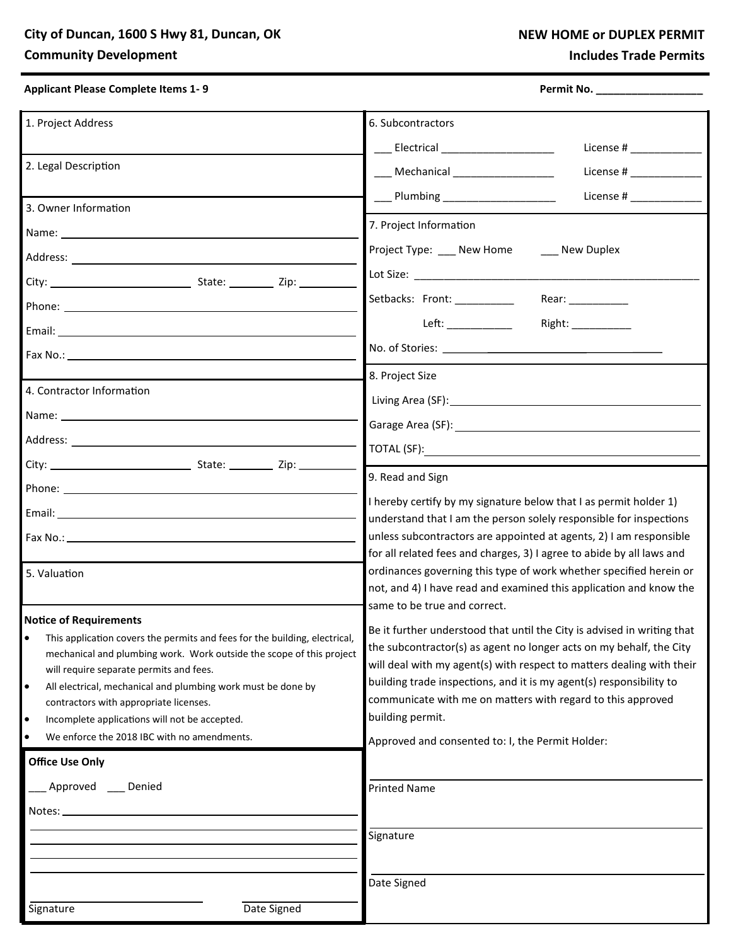## **Includes Trade Permits**

**Applicant Please Complete Items 1-9 Permit No. 2016 Permit No. 2016 Permit No. 2016** 

r

|  | ermit No. |  |
|--|-----------|--|
|  |           |  |

| 1. Project Address                                                                                                                                 |             | 6. Subcontractors                                                                                                                                                                                                             |                                                                                                                                         |  |
|----------------------------------------------------------------------------------------------------------------------------------------------------|-------------|-------------------------------------------------------------------------------------------------------------------------------------------------------------------------------------------------------------------------------|-----------------------------------------------------------------------------------------------------------------------------------------|--|
|                                                                                                                                                    |             | ____ Electrical ______________________                                                                                                                                                                                        |                                                                                                                                         |  |
| 2. Legal Description                                                                                                                               |             | ____ Mechanical _____________________                                                                                                                                                                                         | License #                                                                                                                               |  |
| 3. Owner Information                                                                                                                               |             | ___ Plumbing ____________________                                                                                                                                                                                             |                                                                                                                                         |  |
|                                                                                                                                                    |             | 7. Project Information                                                                                                                                                                                                        |                                                                                                                                         |  |
|                                                                                                                                                    |             | Project Type: ___ New Home ___ New Duplex                                                                                                                                                                                     |                                                                                                                                         |  |
|                                                                                                                                                    |             |                                                                                                                                                                                                                               |                                                                                                                                         |  |
|                                                                                                                                                    |             |                                                                                                                                                                                                                               |                                                                                                                                         |  |
|                                                                                                                                                    |             | Setbacks: Front: ___________                                                                                                                                                                                                  | Rear: ___________                                                                                                                       |  |
|                                                                                                                                                    |             | Left: _____________                                                                                                                                                                                                           | Right: ____________                                                                                                                     |  |
|                                                                                                                                                    |             |                                                                                                                                                                                                                               |                                                                                                                                         |  |
|                                                                                                                                                    |             | 8. Project Size                                                                                                                                                                                                               |                                                                                                                                         |  |
| 4. Contractor Information                                                                                                                          |             | Living Area (SF): Note and the set of the set of the set of the set of the set of the set of the set of the set of the set of the set of the set of the set of the set of the set of the set of the set of the set of the set |                                                                                                                                         |  |
| Name: Name:                                                                                                                                        |             |                                                                                                                                                                                                                               |                                                                                                                                         |  |
|                                                                                                                                                    |             |                                                                                                                                                                                                                               |                                                                                                                                         |  |
|                                                                                                                                                    |             | 9. Read and Sign                                                                                                                                                                                                              |                                                                                                                                         |  |
|                                                                                                                                                    |             |                                                                                                                                                                                                                               |                                                                                                                                         |  |
|                                                                                                                                                    |             |                                                                                                                                                                                                                               | I hereby certify by my signature below that I as permit holder 1)<br>understand that I am the person solely responsible for inspections |  |
|                                                                                                                                                    |             | unless subcontractors are appointed at agents, 2) I am responsible                                                                                                                                                            |                                                                                                                                         |  |
|                                                                                                                                                    |             | for all related fees and charges, 3) I agree to abide by all laws and                                                                                                                                                         |                                                                                                                                         |  |
| 5. Valuation                                                                                                                                       |             | ordinances governing this type of work whether specified herein or<br>not, and 4) I have read and examined this application and know the                                                                                      |                                                                                                                                         |  |
|                                                                                                                                                    |             | same to be true and correct.                                                                                                                                                                                                  |                                                                                                                                         |  |
| <b>Notice of Requirements</b>                                                                                                                      |             |                                                                                                                                                                                                                               | Be it further understood that until the City is advised in writing that                                                                 |  |
| This application covers the permits and fees for the building, electrical,<br>mechanical and plumbing work. Work outside the scope of this project |             | the subcontractor(s) as agent no longer acts on my behalf, the City                                                                                                                                                           |                                                                                                                                         |  |
| will require separate permits and fees.                                                                                                            |             | will deal with my agent(s) with respect to matters dealing with their<br>building trade inspections, and it is my agent(s) responsibility to<br>communicate with me on matters with regard to this approved                   |                                                                                                                                         |  |
| I۰<br>All electrical, mechanical and plumbing work must be done by                                                                                 |             |                                                                                                                                                                                                                               |                                                                                                                                         |  |
| contractors with appropriate licenses.<br>I۰<br>Incomplete applications will not be accepted.                                                      |             | building permit.                                                                                                                                                                                                              |                                                                                                                                         |  |
| We enforce the 2018 IBC with no amendments.<br>lo                                                                                                  |             | Approved and consented to: I, the Permit Holder:                                                                                                                                                                              |                                                                                                                                         |  |
| <b>Office Use Only</b>                                                                                                                             |             |                                                                                                                                                                                                                               |                                                                                                                                         |  |
| Denied<br>Approved                                                                                                                                 |             | <b>Printed Name</b>                                                                                                                                                                                                           |                                                                                                                                         |  |
| Notes: _                                                                                                                                           |             |                                                                                                                                                                                                                               |                                                                                                                                         |  |
|                                                                                                                                                    |             | Signature                                                                                                                                                                                                                     |                                                                                                                                         |  |
|                                                                                                                                                    |             |                                                                                                                                                                                                                               |                                                                                                                                         |  |
|                                                                                                                                                    |             |                                                                                                                                                                                                                               |                                                                                                                                         |  |
|                                                                                                                                                    |             | Date Signed                                                                                                                                                                                                                   |                                                                                                                                         |  |
| Signature                                                                                                                                          | Date Signed |                                                                                                                                                                                                                               |                                                                                                                                         |  |